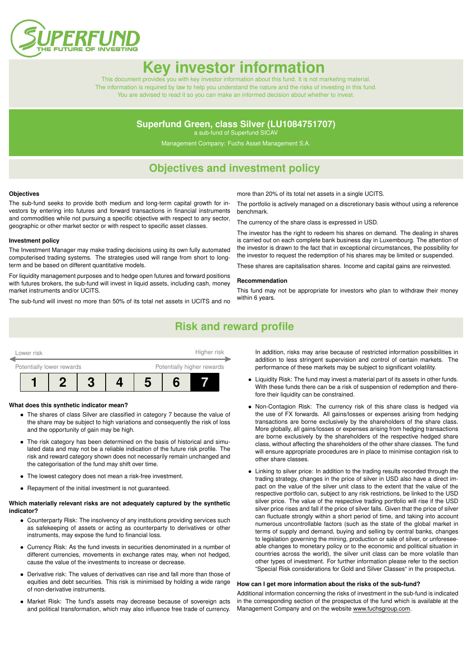

# **Key investor informat**

This document provides you with key investor information about this fund. It is not marketing material. The information is required by law to help you understand the nature and the risks of investing in this fund. You are advised to read it so you can make an informed decision about whether to invest.

### **Superfund Green, class Silver (LU1084751707)**

a sub-fund of Superfund SICAV

Management Company: Fuchs Asset Management S.A.

## **Objectives and investment policy**

#### **Objectives**

The sub-fund seeks to provide both medium and long-term capital growth for investors by entering into futures and forward transactions in financial instruments and commodities while not pursuing a specific objective with respect to any sector, geographic or other market sector or with respect to specific asset classes.

#### **Investment policy**

The Investment Manager may make trading decisions using its own fully automated computerised trading systems. The strategies used will range from short to longterm and be based on different quantitative models.

For liquidity management purposes and to hedge open futures and forward positions with futures brokers, the sub-fund will invest in liquid assets, including cash, money market instruments and/or UCITS.

The sub-fund will invest no more than 50% of its total net assets in UCITS and no

more than 20% of its total net assets in a single UCITS.

The portfolio is actively managed on a discretionary basis without using a reference benchmark.

The currency of the share class is expressed in USD.

The investor has the right to redeem his shares on demand. The dealing in shares is carried out on each complete bank business day in Luxembourg. The attention of the investor is drawn to the fact that in exceptional circumstances, the possibility for the investor to request the redemption of his shares may be limited or suspended.

These shares are capitalisation shares. Income and capital gains are reinvested.

#### **Recommendation**

This fund may not be appropriate for investors who plan to withdraw their money within 6 years.

### **Risk and reward profile**



#### **What does this synthetic indicator mean?**

- The shares of class Silver are classified in category 7 because the value of the share may be subject to high variations and consequently the risk of loss and the opportunity of gain may be high.
- The risk category has been determined on the basis of historical and simulated data and may not be a reliable indication of the future risk profile. The risk and reward category shown does not necessarily remain unchanged and the categorisation of the fund may shift over time.
- The lowest category does not mean a risk-free investment.
- Repayment of the initial investment is not guaranteed.

#### **Which materially relevant risks are not adequately captured by the synthetic indicator?**

- Counterparty Risk: The insolvency of any institutions providing services such as safekeeping of assets or acting as counterparty to derivatives or other instruments, may expose the fund to financial loss.
- Currency Risk: As the fund invests in securities denominated in a number of different currencies, movements in exchange rates may, when not hedged, cause the value of the investments to increase or decrease.
- Derivative risk: The values of derivatives can rise and fall more than those of equities and debt securities. This risk is minimised by holding a wide range of non-derivative instruments.
- Market Risk: The fund's assets may decrease because of sovereign acts and political transformation, which may also influence free trade of currency.

In addition, risks may arise because of restricted information possibilities in addition to less stringent supervision and control of certain markets. The performance of these markets may be subject to significant volatility.

- Liquidity Risk: The fund may invest a material part of its assets in other funds. With these funds there can be a risk of suspension of redemption and therefore their liquidity can be constrained.
- Non-Contagion Risk: The currency risk of this share class is hedged via the use of FX forwards. All gains/losses or expenses arising from hedging transactions are borne exclusively by the shareholders of the share class. More globally, all gains/losses or expenses arising from hedging transactions are borne exclusively by the shareholders of the respective hedged share class, without affecting the shareholders of the other share classes. The fund will ensure appropriate procedures are in place to minimise contagion risk to other share classes.
- Linking to silver price: In addition to the trading results recorded through the trading strategy, changes in the price of silver in USD also have a direct impact on the value of the silver unit class to the extent that the value of the respective portfolio can, subject to any risk restrictions, be linked to the USD silver price. The value of the respective trading portfolio will rise if the USD silver price rises and fall if the price of silver falls. Given that the price of silver can fluctuate strongly within a short period of time, and taking into account numerous uncontrollable factors (such as the state of the global market in terms of supply and demand, buying and selling by central banks, changes to legislation governing the mining, production or sale of silver, or unforeseeable changes to monetary policy or to the economic and political situation in countries across the world), the silver unit class can be more volatile than other types of investment. For further information please refer to the section "Special Risk considerations for Gold and Silver Classes" in the prospectus.

#### **How can I get more information about the risks of the sub-fund?**

Additional information concerning the risks of investment in the sub-fund is indicated in the corresponding section of the prospectus of the fund which is available at the Management Company and on the website [www.fuchsgroup.com.](http://www.fuchsgroup.com)